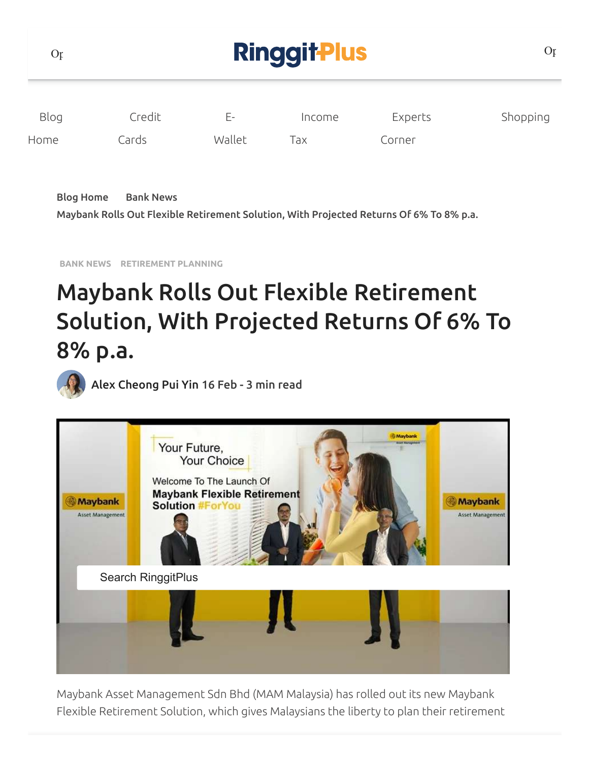| O <sub>f</sub> |        | O <sub>f</sub> |        |         |          |
|----------------|--------|----------------|--------|---------|----------|
| Blog           | Credit | Е-             | Income | Experts | Shopping |
| Home           | Cards  | Wallet         | Tax    | Corner  |          |

Blog [Home](https://ringgitplus.com/en/blog/) Bank [News](https://ringgitplus.com/en/blog/bank-news/)

Maybank Rolls Out Flexible [Retirement](https://ringgitplus.com/en/blog/retirement-planning/maybank-rolls-out-flexible-retirement-solution-with-projected-returns-of-6-to-8-p-a.html) Solution, With Projected Returns Of 6% To 8% p.a.

**BANK [NEWS](https://ringgitplus.com/en/blog/bank-news/) [RETIREMENT](https://ringgitplus.com/en/blog/retirement-planning/) PLANNING**

# Maybank Rolls Out Flexible Retirement Solution, With Projected Returns Of 6% To 8% p.a.



Alex [Cheong](https://ringgitplus.com/en/blog/author/alexcheong347da30977) Pui Yin 16 Feb - 3 min read



Maybank Asset Management Sdn Bhd (MAM Malaysia) has rolled out its new Maybank Flexible Retirement Solution, which gives Malaysians the liberty to plan their retirement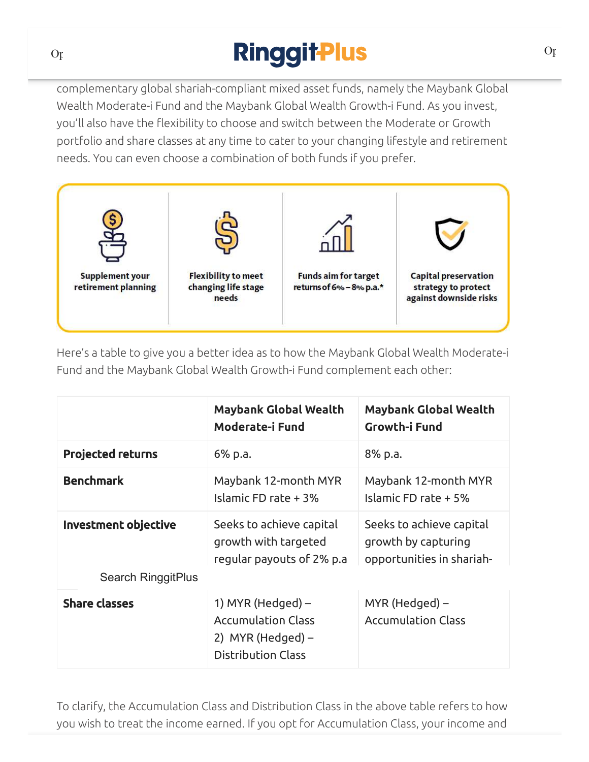# The return  $\mathcal{L}_\mathcal{A}$  and  $\mathcal{L}_\mathcal{A}$  to  $\mathcal{L}_\mathcal{A}$  to  $\mathcal{L}_\mathcal{A}$  to  $\mathcal{L}_\mathcal{A}$  p.a. – of  $\mathcal{L}_\mathcal{A}$

complementary global shariah-compliant mixed asset funds, namely the Maybank Global Wealth Moderate-i Fund and the Maybank Global Wealth Growth-i Fund. As you invest, you'll also have the flexibility to choose and switch between the Moderate or Growth portfolio and share classes at any time to cater to your changing lifestyle and retirement needs. You can even choose a combination of both funds if you prefer.



Here's a table to give you a better idea as to how the Maybank Global Wealth Moderate-i Fund and the Maybank Global Wealth Growth-i Fund complement each other:

|                          | <b>Maybank Global Wealth</b><br>Moderate-i Fund                                                      | <b>Maybank Global Wealth</b><br><b>Growth-i Fund</b>                         |  |
|--------------------------|------------------------------------------------------------------------------------------------------|------------------------------------------------------------------------------|--|
| <b>Projected returns</b> | 6% p.a.                                                                                              | 8% p.a.                                                                      |  |
| <b>Benchmark</b>         | Maybank 12-month MYR<br>Islamic FD rate + 3%                                                         | Maybank 12-month MYR<br>Islamic FD rate + 5%                                 |  |
| Investment objective     | Seeks to achieve capital<br>growth with targeted<br>regular payouts of 2% p.a                        | Seeks to achieve capital<br>growth by capturing<br>opportunities in shariah- |  |
| Search RinggitPlus       |                                                                                                      |                                                                              |  |
| <b>Share classes</b>     | 1) MYR (Hedged) $-$<br><b>Accumulation Class</b><br>2) MYR (Hedged) $-$<br><b>Distribution Class</b> | MYR (Hedged) –<br><b>Accumulation Class</b>                                  |  |

To clarify, the Accumulation Class and Distribution Class in the above table refers to how you wish to treat the income earned. If you opt for Accumulation Class, your income and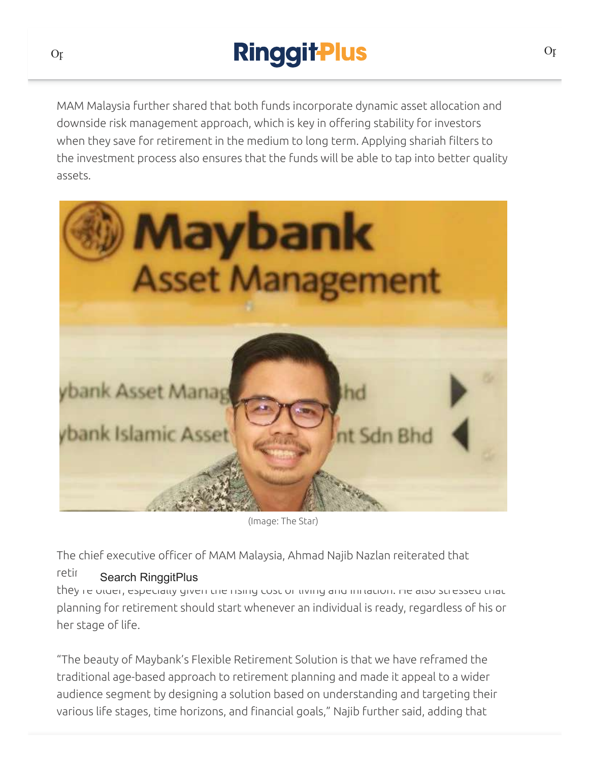### **Ringgit Plus** well that neither of the funds above are Private Retirement Scheme (PRS) funds above are Private Retirement Sc

MAM Malaysia further shared that both funds incorporate dynamic asset allocation and downside risk management approach, which is key in offering stability for investors when they save for retirement in the medium to long term. Applying shariah filters to the investment process also ensures that the funds will be able to tap into better quality assets.



(Image: The Star)

The chief executive officer of MAM Malaysia, Ahmad Najib Nazlan reiterated that

#### retirement planning should not be an issue that Malaysian should not be an isomorphic only when  $\mathbb{R}^n$

they re older, especially given the rising cost or living and initiation. He also stressed that planning for retirement should start whenever an individual is ready, regardless of his or her stage of life.

"The beauty of Maybank's Flexible Retirement Solution is that we have reframed the traditional age-based approach to retirement planning and made it appeal to a wider audience segment by designing a solution based on understanding and targeting their various life stages, time horizons, and financial goals," Najib further said, adding that